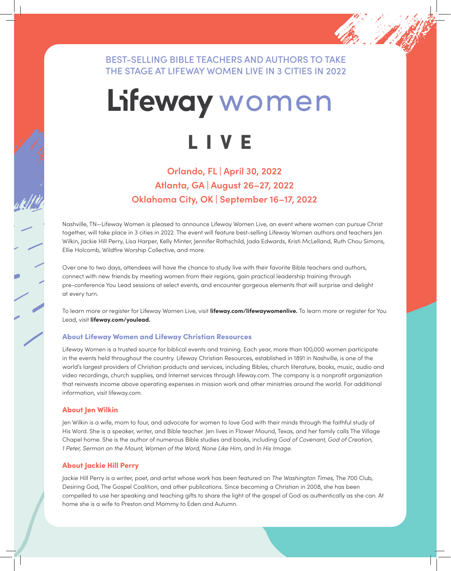### BEST-SELLING BIBLE TEACHERS AND AUTHORS TO TAKE THE STAGE AT LIFEWAY WOMEN LIVE IN 3 CITIES IN 2022

# Lifeway women LIVE

## **Orlando, FL | April 30, 2022 Atlanta, GA | August 26–27, 2022 Oklahoma City, OK | September 16–17, 2022**

Nashville, TN—Lifeway Women is pleased to announce Lifeway Women Live, an event where women can pursue Christ together, will take place in 3 cities in 2022. The event will feature best-selling Lifeway Women authors and teachers Jen Wilkin, Jackie Hill Perry, Lisa Harper, Kelly Minter, Jennifer Rothschild, Jada Edwards, Kristi McLelland, Ruth Chou Simons, Ellie Holcomb, Wildfire Worship Collective, and more.

Over one to two days, attendees will have the chance to study live with their favorite Bible teachers and authors, connect with new friends by meeting women from their regions, gain practical leadership training through pre-conference You Lead sessions at select events, and encounter gorgeous elements that will surprise and delight at every turn.

To learn more or register for Lifeway Women Live, visit **lifeway.com/lifewaywomenlive.** To learn more or register for You Lead, visit **lifeway.com/youlead.**

# <sub>Lead,</sub> w<sub>an ineway.com/youledd.<br>About Lifeway Women and Lifeway Christian Resources</sub>

Lifeway Women is a trusted source for biblical events and training. Each year, more than 100,000 women participate in the events held throughout the country. Lifeway Christian Resources, established in 1891 in Nashville, is one of the world's largest providers of Christian products and services, including Bibles, church literature, books, music, audio and video recordings, church supplies, and Internet services through lifeway.com. The company is a nonprofit organization that reinvests income above operating expenses in mission work and other ministries around the world. For additional information, visit lifeway.com.

#### About Jen Wilkin

Jen Wilkin is a wife, mom to four, and advocate for women to love God with their minds through the faithful study of His Word. She is a speaker, writer, and Bible teacher. Jen lives in Flower Mound, Texas, and her family calls The Village Chapel home. She is the author of numerous Bible studies and books, including *God of Covenant, God of Creation, 1 Peter, Sermon on the Mount, Women of the Word, None Like Him,* and *In His Image.*

#### About Jackie Hill Perry

Jackie Hill Perry is a writer, poet, and artist whose work has been featured on *The Washington Times,* The 700 Club, Desiring God, The Gospel Coalition, and other publications. Since becoming a Christian in 2008, she has been compelled to use her speaking and teaching gifts to share the light of the gospel of God as authentically as she can. At home she is a wife to Preston and Mommy to Eden and Autumn.